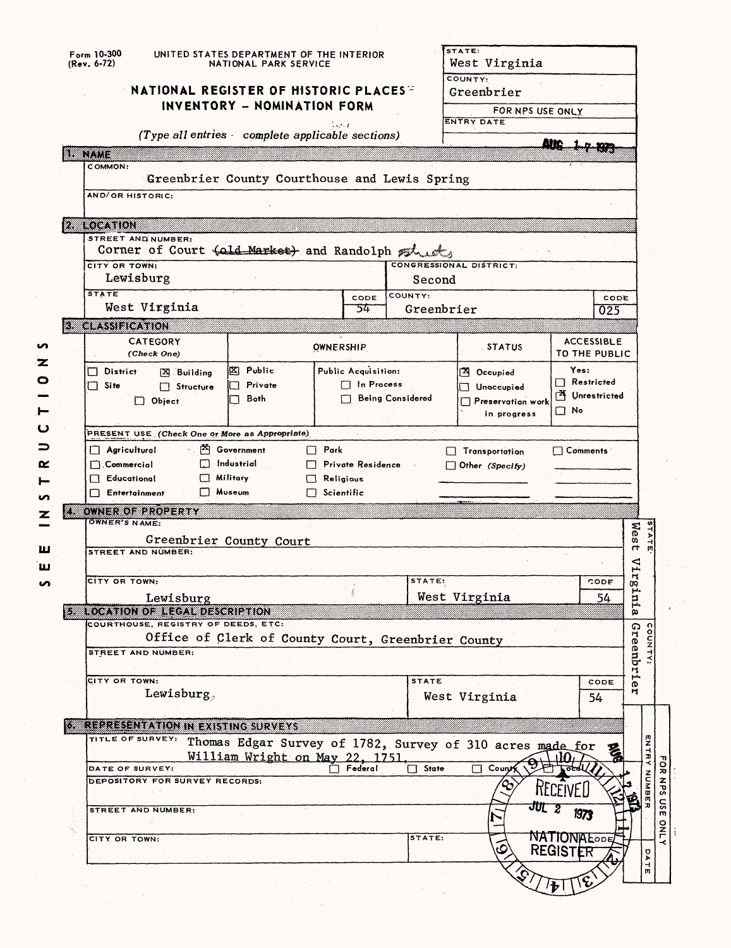| (Rev. 6-72) | $Form$ 10-300                                     | UNITED STATES DEPARTMENT OF THE INTERIOR<br>NATIONAL PARK SERVICE |                     |                         | STATE:<br>West Virginia                                   |                                     |
|-------------|---------------------------------------------------|-------------------------------------------------------------------|---------------------|-------------------------|-----------------------------------------------------------|-------------------------------------|
|             | NATIONAL REGISTER OF HISTORIC PLACES              |                                                                   |                     |                         | COUNTY:<br>Greenbrier                                     |                                     |
|             |                                                   | INVENTORY - NOMINATION FORM                                       | l en a              |                         | FOR NPS USE ONLY<br><b>ENTRY DATE</b>                     |                                     |
|             |                                                   | (Type all entries complete applicable sections)                   |                     |                         |                                                           |                                     |
| u kutha     | COMMON:                                           |                                                                   |                     |                         |                                                           |                                     |
|             |                                                   | Greenbrier County Courthouse and Lewis Spring                     |                     |                         |                                                           |                                     |
|             | AND/OR HISTORIC:                                  |                                                                   |                     |                         |                                                           |                                     |
|             | <b>2 LOCATION</b>                                 |                                                                   |                     |                         |                                                           |                                     |
|             | STREET AND NUMBER:                                |                                                                   |                     |                         |                                                           |                                     |
|             | Corner of Court (ald Market) and Randolph sheet   |                                                                   |                     |                         |                                                           |                                     |
|             | CITY OR TOWN:<br>Lewisburg                        |                                                                   |                     | Second                  | CONGRESSIONAL DISTRICT:                                   |                                     |
|             | <b>STATE</b>                                      |                                                                   | CODE                | COUNTY:                 |                                                           | CODE                                |
|             | West Virginia                                     |                                                                   | 54                  | Greenbrier              |                                                           | 025                                 |
|             | <b>3. CLASSIFICATION</b>                          |                                                                   |                     |                         |                                                           |                                     |
|             | <b>CATEGORY</b><br>(Check One)                    |                                                                   | <b>OWNERSHIP</b>    |                         | <b>STATUS</b>                                             | <b>ACCESSIBLE</b><br>TO THE PUBLIC  |
|             | $\Box$ District<br>[X] Building                   | ⊠ Public                                                          | Public Acquisition: |                         | <sup>[2]</sup> Occupied                                   | Yes:                                |
|             | $\Box$ Site<br>Structure                          | $\Box$ Private                                                    | $\Box$ In Process   |                         | Unoccupied<br>LТ                                          | $\Box$ Restricted<br>M Unrestricted |
|             | $\Box$ Object                                     | Both                                                              |                     | <b>Being Considered</b> | Preservation work<br>in progress                          | $\square$ No                        |
|             | PRESENT USE (Check One or More as Appropriate)    |                                                                   |                     |                         |                                                           |                                     |
|             | $\Box$ Agricultural                               | $\mathbb{X}$ Government                                           | $\Box$ Park         |                         | $\Box$ Transportation                                     | $\Box$ Comments :                   |
|             | $\Box$ Commercial                                 | $\Box$ Industrial                                                 | Private Residence   |                         | $\Box$ Other (Specify)                                    |                                     |
|             | $\Box$ Military<br>Educational                    |                                                                   | Religious           |                         |                                                           |                                     |
|             | $\Box$ Museum<br>$\Box$ Entertainment             |                                                                   | $\Box$ Scientific   |                         |                                                           |                                     |
| ZB.         | OWNER OF PROPERTY<br><b>OWNER'S NAME:</b>         |                                                                   |                     |                         |                                                           |                                     |
|             |                                                   | Greenbrier County Court                                           |                     |                         |                                                           | Μę<br>co.                           |
|             | STREET AND NUMBER:                                |                                                                   |                     |                         |                                                           | $\mathsf{r}$<br>◁                   |
|             | CITY OR TOWN:                                     |                                                                   |                     | STATE:                  |                                                           | н.<br>CODE                          |
|             | Lewisburg                                         |                                                                   |                     |                         | West Virginia                                             | ru <sub>r</sub> 3.<br>54            |
|             | <b>Execution of the Contract Adventure</b>        |                                                                   |                     |                         |                                                           | ā.                                  |
|             | COURTHOUSE, REGISTRY OF DEEDS, ETC:               | Office of Clerk of County Court, Greenbrier County                |                     |                         |                                                           | ဂာ                                  |
|             | STREET AND NUMBER:                                |                                                                   |                     |                         |                                                           | reenbrie                            |
|             |                                                   |                                                                   |                     |                         |                                                           |                                     |
|             | CITY OR TOWN:<br>Lewisburg,                       |                                                                   |                     | <b>STATE</b>            |                                                           | CODE<br>Ħ                           |
|             |                                                   |                                                                   |                     |                         | West Virginia                                             | 54                                  |
|             | <b>REPRESENTATION IN EXISTING SURVEYS</b>         |                                                                   |                     |                         |                                                           |                                     |
|             | TITLE OF SURVEY:                                  |                                                                   |                     |                         | Thomas Edgar Survey of 1782, Survey of 310 acres made for |                                     |
|             |                                                   | William Wright on May 22, 1751.                                   |                     |                         |                                                           |                                     |
|             | DATE OF SURVEY:<br>DEPOSITORY FOR SURVEY RECORDS: |                                                                   | Federal             | <b>State</b>            | Coun                                                      |                                     |
|             |                                                   |                                                                   |                     |                         |                                                           | KECEIVEL                            |
|             | STREET AND NUMBER:                                |                                                                   |                     |                         | JULZ                                                      | 1973                                |
|             |                                                   |                                                                   |                     | STATE:                  |                                                           | <b>NATIONALODE</b>                  |
|             |                                                   |                                                                   |                     |                         |                                                           |                                     |
|             | CITY OR TOWN:                                     |                                                                   |                     |                         |                                                           |                                     |
|             |                                                   |                                                                   |                     |                         |                                                           | <b>REGISTER</b>                     |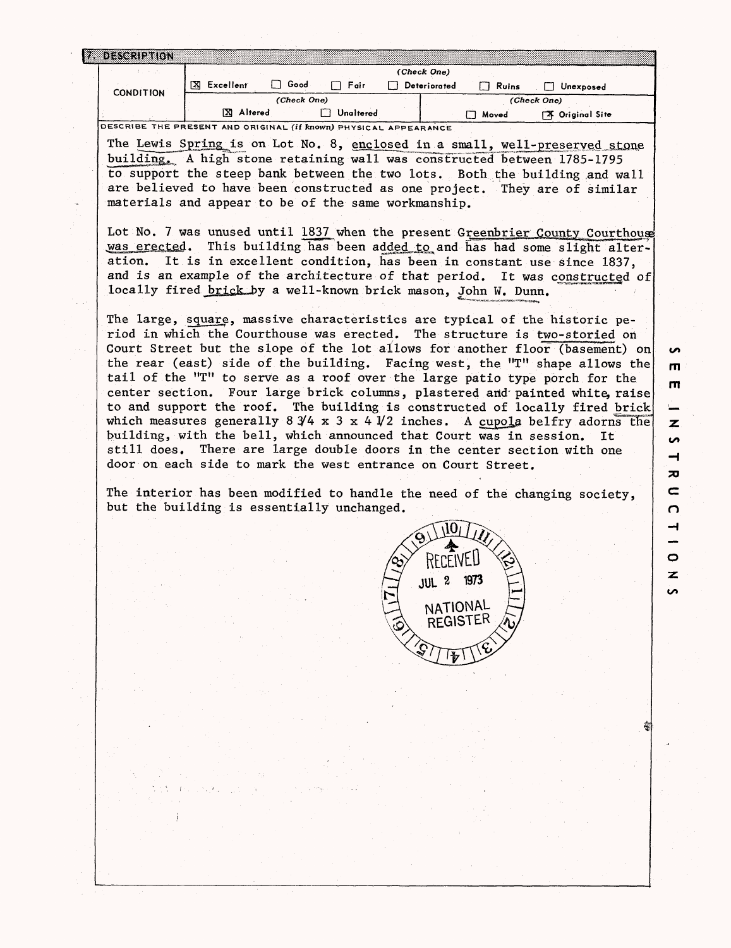|                  |                  |      |           | (Check One)  |             |                 |  |
|------------------|------------------|------|-----------|--------------|-------------|-----------------|--|
| <b>CONDITION</b> | Excellent<br>ΓXΙ | Good | Fair      | Deteriorated | Ruins       | Unexposed       |  |
|                  | (Check One)      |      |           |              | (Check One) |                 |  |
|                  | Altered          |      | Unaltered |              | Moved       | X Original Site |  |

DESCRIBE THE PRESENT AND ORIGINAL (If known) PHYSICAL APPEARANCE

The Lewis Spring is on Lot No. 8, enclosed in a small, well-preserved stone building^, A high stone retaining wall was constructed between 1785-1795 to support the steep bank between the two lots. Both the building and wall are believed to have been constructed as one project. They are of similar materials and appear to be of the same workmanship.

Lot No. 7 was unused until 1837 when the present Greenbrier County Courthouse was erected. This building has been added to and has had some slight alteration. It is in excellent condition, has been in constant use since 1837, and is an example of the architecture of that period. It was constructed of locally fired brick by a well-known brick mason, John W. Dunn.

The large, square, massive characteristics are typical of the historic period in which the Courthouse was erected. The structure is two-storied on Court Street but the slope of the lot allows for another floor (basement) on the rear (east) side of the building. Facing west, the  $T''$  shape allows the tail of the "T" to serve as a roof over the large patio type porch for the center section. Four large brick columns, plastered and' painted white, raise to and support the roof. The building is constructed of locally fired brick which measures generally  $8 \frac{3}{4} \times 3 \times 4 \frac{1}{2}$  inches. A cupola belfry adorns the building, with the bell, which announced that Court was in session. It still does. There are large double doors in the center section with one door on each side to mark the west entrance on Court Street.

The interior has been modified to handle the need of the changing society, but the building is essentially unchanged.



**m rn**

**S** 

**70**  $\mathbf{C}$  $\Omega$ 

 $\rightarrow$ 

O z

 $\mathbf{z}$ S  $\overline{\phantom{0}}$ 

**oo**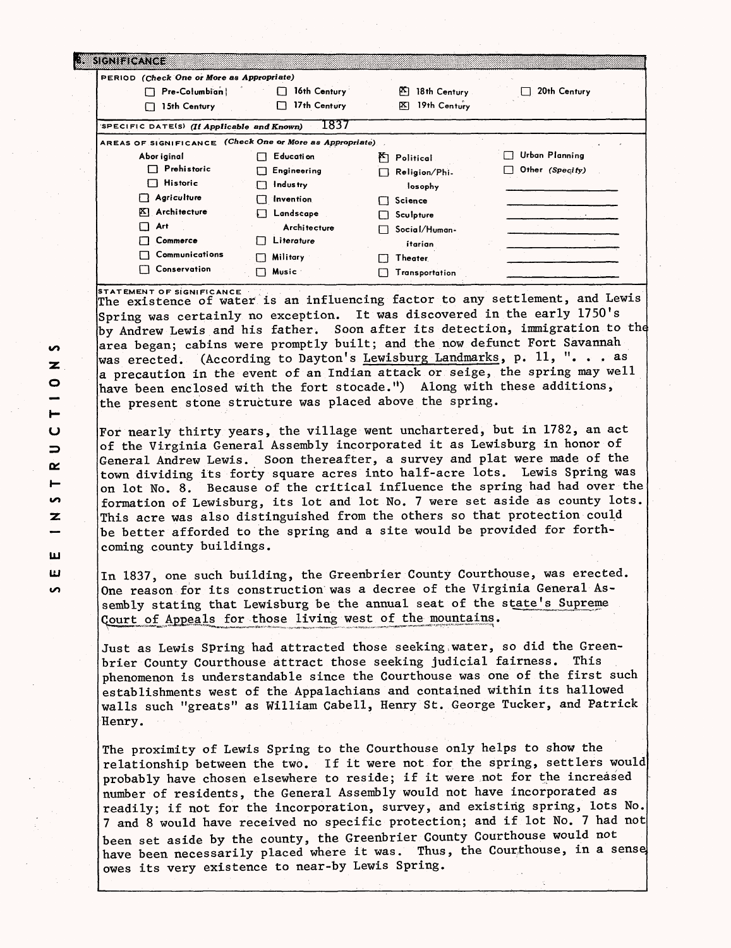| SIGNIFICANCE                                     |                                    |                    |                 |
|--------------------------------------------------|------------------------------------|--------------------|-----------------|
| PERIOD (Check One or More as Appropriate)        |                                    |                    |                 |
| Pre-Columbian                                    | 16th Century                       | 困<br>18th Century  | 20th Century    |
| 15th Century<br>г                                | 17th Century                       | 19th Century<br>⊠  |                 |
| SPECIFIC DATE(S) (If Applicable and Known)       | 1837                               |                    |                 |
| AREAS OF SIGNIFICANCE                            | (Check One or More as Appropriate) |                    |                 |
| Abor iginal                                      | Educati on<br>ГТ                   | ۴٦<br>Political    | Urban Planning  |
| Prehistoric                                      | Engineering<br>ΙI                  | Religion/Phi.<br>П | Other (Specify) |
| <b>Historic</b><br>$\mathbf{1} \cdot \mathbf{1}$ | Industry<br>П                      | losophy            |                 |
| Agriculture                                      | Invention<br>П                     | Science            |                 |
| $ X $ Architecture                               | Landscape                          | Sculpture          |                 |
| Art                                              | Architecture                       | Social/Human-      |                 |
| Commerce                                         | Literature<br>ΙI                   | itarian            |                 |
| Communications                                   | Military                           | <b>Theater</b>     |                 |
| Conservation                                     | Music                              | Transportation     |                 |

**STATEMENT OF SIGNIFICANCE .** The existence of water is an influencing factor to any settlement, and Lewis Spring was certainly no exception. It was discovered in the early 1750's by Andrew Lewis and his father. Soon after its detection, immigration to the area began; cabins were promptly built; and the now defunct Fort Savannah was erected. (According to Dayton's Lewisburg Landmarks, p. 11, "... as a precaution in the event of an Indian attack or seige, the spring may well have been enclosed with the fort stocade.") Along with these additions, the present stone structure was placed above the spring.

For nearly thirty years, the village went unchartered, but in 1782, an act of the Virginia General Assembly incorporated it as Lewisburg in honor of General Andrew Lewis. Soon thereafter, a survey and plat were made of the town dividing its forty square acres into half-acre lots. Lewis Spring was on lot No. 8. Because of the critical influence the spring had had over the formation of Lewisburg, its lot and lot No. 7 were set aside as county lots. This acre was also distinguished from the others so that protection could be better afforded to the spring and a site would be provided for forthcoming county buildings.

In 1837, one such building, the Greenbrier County Courthouse, was erected. One reason for its construction was a decree of the Virginia General Assembly stating that Lewisburg be the annual seat of the state's Supreme <u>ourt of Appeals for those living west of the mountains</u>.

Just as Lewis Spring had attracted those seeking;water, so did the Greenbrier County Courthouse attract those seeking judicial fairness. This phenomenon is understandable since the Courthouse was one of the first such establishments west of the Appalachians and contained within its hallowed walls such "greats" as William Cabell, Henry St. George Tucker, and Patrick Henry.

The proximity of Lewis Spring to the Courthouse only helps to show the relationship between the two. If it were not for the spring, settlers would probably have chosen elsewhere to reside; if it were not for the increased number of residents, the General Assembly would not have incorporated as readily; if not for the incorporation, survey, and existing spring, lots No. 7 and 8 would have received no specific protection; and if lot No. 7 had not been set aside by the county, the Greenbrier County Courthouse would not have been necessarily placed where it was. Thus, the Courthouse, in a sense owes its very existence to near-by Lewis Spring.